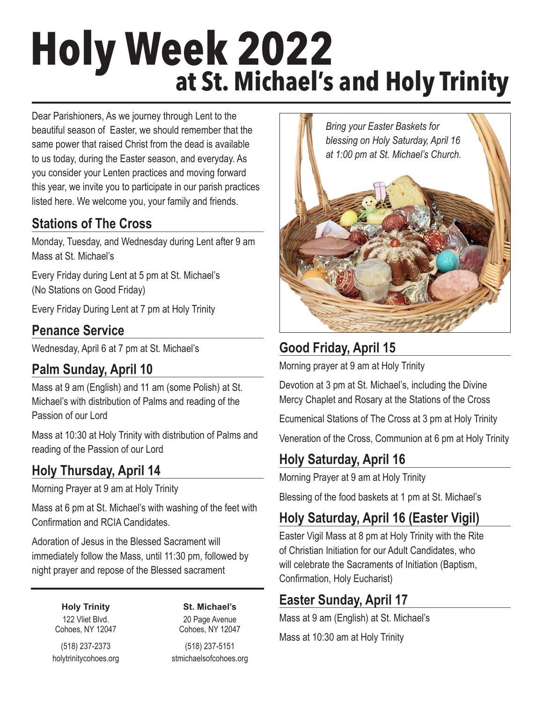# **Holy Week 2022 at St. Michael's and Holy Trinity**

Dear Parishioners, As we journey through Lent to the beautiful season of Easter, we should remember that the same power that raised Christ from the dead is available to us today, during the Easter season, and everyday. As you consider your Lenten practices and moving forward this year, we invite you to participate in our parish practices listed here. We welcome you, your family and friends.

#### **Stations of The Cross**

Monday, Tuesday, and Wednesday during Lent after 9 am Mass at St. Michael's

Every Friday during Lent at 5 pm at St. Michael's (No Stations on Good Friday)

Every Friday During Lent at 7 pm at Holy Trinity

## **Penance Service**

Wednesday, April 6 at 7 pm at St. Michael's

## **Palm Sunday, April 10**

Mass at 9 am (English) and 11 am (some Polish) at St. Michael's with distribution of Palms and reading of the Passion of our Lord

Mass at 10:30 at Holy Trinity with distribution of Palms and reading of the Passion of our Lord

## **Holy Thursday, April 14**

Morning Prayer at 9 am at Holy Trinity

Mass at 6 pm at St. Michael's with washing of the feet with Confirmation and RCIA Candidates.

Adoration of Jesus in the Blessed Sacrament will immediately follow the Mass, until 11:30 pm, followed by night prayer and repose of the Blessed sacrament

> **Holy Trinity** 122 Vliet Blvd. Cohoes, NY 12047

**St. Michael's** 20 Page Avenue Cohoes, NY 12047

(518) 237-2373 holytrinitycohoes.org

(518) 237-5151 stmichaelsofcohoes.org



# **Good Friday, April 15**

Morning prayer at 9 am at Holy Trinity

Devotion at 3 pm at St. Michael's, including the Divine Mercy Chaplet and Rosary at the Stations of the Cross

Ecumenical Stations of The Cross at 3 pm at Holy Trinity

Veneration of the Cross, Communion at 6 pm at Holy Trinity

## **Holy Saturday, April 16**

Morning Prayer at 9 am at Holy Trinity

Blessing of the food baskets at 1 pm at St. Michael's

# **Holy Saturday, April 16 (Easter Vigil)**

Easter Vigil Mass at 8 pm at Holy Trinity with the Rite of Christian Initiation for our Adult Candidates, who will celebrate the Sacraments of Initiation (Baptism, Confirmation, Holy Eucharist)

## **Easter Sunday, April 17**

Mass at 9 am (English) at St. Michael's

Mass at 10:30 am at Holy Trinity